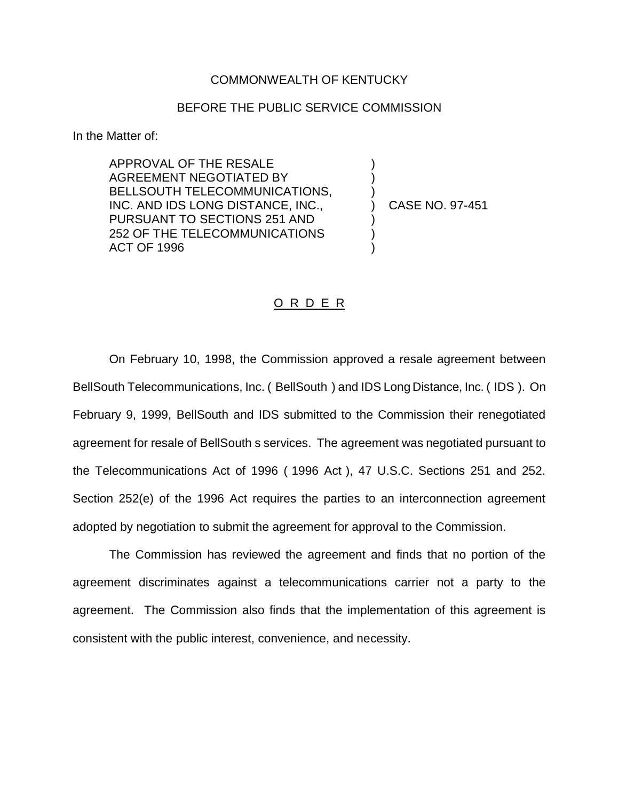## COMMONWEALTH OF KENTUCKY

## BEFORE THE PUBLIC SERVICE COMMISSION

In the Matter of:

APPROVAL OF THE RESALE AGREEMENT NEGOTIATED BY BELLSOUTH TELECOMMUNICATIONS, INC. AND IDS LONG DISTANCE, INC., PURSUANT TO SECTIONS 251 AND 252 OF THE TELECOMMUNICATIONS ACT OF 1996

) CASE NO. 97-451

) ) )

) ) )

## O R D E R

On February 10, 1998, the Commission approved a resale agreement between BellSouth Telecommunications, Inc. ( BellSouth ) and IDS Long Distance, Inc. ( IDS ). On February 9, 1999, BellSouth and IDS submitted to the Commission their renegotiated agreement for resale of BellSouth s services. The agreement was negotiated pursuant to the Telecommunications Act of 1996 ( 1996 Act ), 47 U.S.C. Sections 251 and 252. Section 252(e) of the 1996 Act requires the parties to an interconnection agreement adopted by negotiation to submit the agreement for approval to the Commission.

The Commission has reviewed the agreement and finds that no portion of the agreement discriminates against a telecommunications carrier not a party to the agreement. The Commission also finds that the implementation of this agreement is consistent with the public interest, convenience, and necessity.